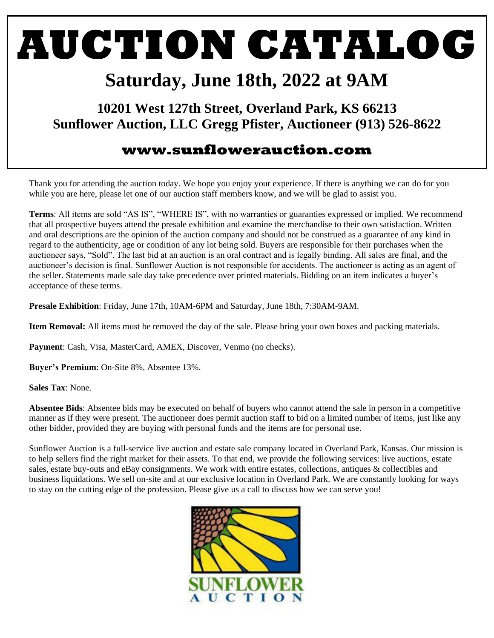### **AUCTION CATALOG**

### **Saturday, June 18th, 2022 at 9AM**

**10201 West 127th Street, Overland Park, KS 66213 Sunflower Auction, LLC Gregg Pfister, Auctioneer (913) 526-8622**

#### **www.sunflowerauction.com**

Thank you for attending the auction today. We hope you enjoy your experience. If there is anything we can do for you while you are here, please let one of our auction staff members know, and we will be glad to assist you.

**Terms**: All items are sold "AS IS", "WHERE IS", with no warranties or guaranties expressed or implied. We recommend that all prospective buyers attend the presale exhibition and examine the merchandise to their own satisfaction. Written and oral descriptions are the opinion of the auction company and should not be construed as a guarantee of any kind in regard to the authenticity, age or condition of any lot being sold. Buyers are responsible for their purchases when the auctioneer says, "Sold". The last bid at an auction is an oral contract and is legally binding. All sales are final, and the auctioneer's decision is final. Sunflower Auction is not responsible for accidents. The auctioneer is acting as an agent of the seller. Statements made sale day take precedence over printed materials. Bidding on an item indicates a buyer's acceptance of these terms.

**Presale Exhibition**: Friday, June 17th, 10AM-6PM and Saturday, June 18th, 7:30AM-9AM.

**Item Removal:** All items must be removed the day of the sale. Please bring your own boxes and packing materials.

**Payment**: Cash, Visa, MasterCard, AMEX, Discover, Venmo (no checks).

**Buyer's Premium**: On-Site 8%, Absentee 13%.

**Sales Tax**: None.

**Absentee Bids**: Absentee bids may be executed on behalf of buyers who cannot attend the sale in person in a competitive manner as if they were present. The auctioneer does permit auction staff to bid on a limited number of items, just like any other bidder, provided they are buying with personal funds and the items are for personal use.

Sunflower Auction is a full-service live auction and estate sale company located in Overland Park, Kansas. Our mission is to help sellers find the right market for their assets. To that end, we provide the following services: live auctions, estate sales, estate buy-outs and eBay consignments. We work with entire estates, collections, antiques & collectibles and business liquidations. We sell on-site and at our exclusive location in Overland Park. We are constantly looking for ways to stay on the cutting edge of the profession. Please give us a call to discuss how we can serve you!

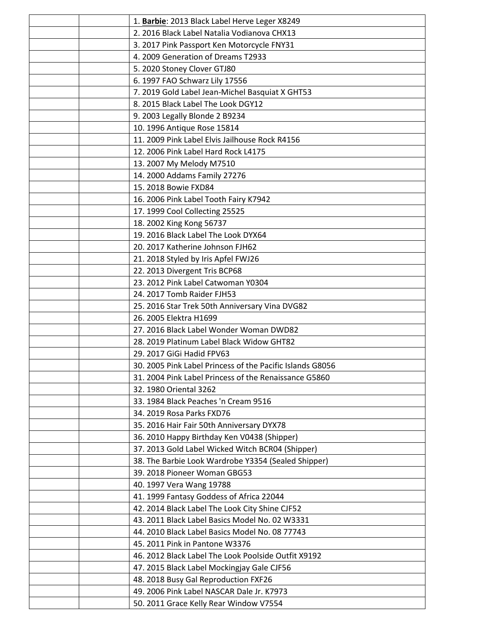|  | 1. Barbie: 2013 Black Label Herve Leger X8249             |
|--|-----------------------------------------------------------|
|  | 2. 2016 Black Label Natalia Vodianova CHX13               |
|  | 3. 2017 Pink Passport Ken Motorcycle FNY31                |
|  | 4. 2009 Generation of Dreams T2933                        |
|  | 5. 2020 Stoney Clover GTJ80                               |
|  | 6. 1997 FAO Schwarz Lily 17556                            |
|  | 7. 2019 Gold Label Jean-Michel Basquiat X GHT53           |
|  | 8. 2015 Black Label The Look DGY12                        |
|  | 9. 2003 Legally Blonde 2 B9234                            |
|  | 10. 1996 Antique Rose 15814                               |
|  | 11. 2009 Pink Label Elvis Jailhouse Rock R4156            |
|  | 12. 2006 Pink Label Hard Rock L4175                       |
|  | 13. 2007 My Melody M7510                                  |
|  | 14. 2000 Addams Family 27276                              |
|  | 15. 2018 Bowie FXD84                                      |
|  | 16. 2006 Pink Label Tooth Fairy K7942                     |
|  | 17. 1999 Cool Collecting 25525                            |
|  | 18. 2002 King Kong 56737                                  |
|  | 19. 2016 Black Label The Look DYX64                       |
|  | 20. 2017 Katherine Johnson FJH62                          |
|  | 21. 2018 Styled by Iris Apfel FWJ26                       |
|  | 22. 2013 Divergent Tris BCP68                             |
|  | 23. 2012 Pink Label Catwoman Y0304                        |
|  | 24. 2017 Tomb Raider FJH53                                |
|  | 25. 2016 Star Trek 50th Anniversary Vina DVG82            |
|  | 26. 2005 Elektra H1699                                    |
|  | 27. 2016 Black Label Wonder Woman DWD82                   |
|  | 28. 2019 Platinum Label Black Widow GHT82                 |
|  | 29. 2017 GiGi Hadid FPV63                                 |
|  | 30. 2005 Pink Label Princess of the Pacific Islands G8056 |
|  | 31. 2004 Pink Label Princess of the Renaissance G5860     |
|  | 32. 1980 Oriental 3262                                    |
|  | 33. 1984 Black Peaches 'n Cream 9516                      |
|  | 34. 2019 Rosa Parks FXD76                                 |
|  | 35. 2016 Hair Fair 50th Anniversary DYX78                 |
|  | 36. 2010 Happy Birthday Ken V0438 (Shipper)               |
|  | 37. 2013 Gold Label Wicked Witch BCR04 (Shipper)          |
|  | 38. The Barbie Look Wardrobe Y3354 (Sealed Shipper)       |
|  | 39. 2018 Pioneer Woman GBG53                              |
|  | 40. 1997 Vera Wang 19788                                  |
|  | 41. 1999 Fantasy Goddess of Africa 22044                  |
|  | 42. 2014 Black Label The Look City Shine CJF52            |
|  | 43. 2011 Black Label Basics Model No. 02 W3331            |
|  | 44. 2010 Black Label Basics Model No. 08 77743            |
|  | 45. 2011 Pink in Pantone W3376                            |
|  | 46. 2012 Black Label The Look Poolside Outfit X9192       |
|  | 47. 2015 Black Label Mockingjay Gale CJF56                |
|  | 48. 2018 Busy Gal Reproduction FXF26                      |
|  | 49. 2006 Pink Label NASCAR Dale Jr. K7973                 |
|  | 50. 2011 Grace Kelly Rear Window V7554                    |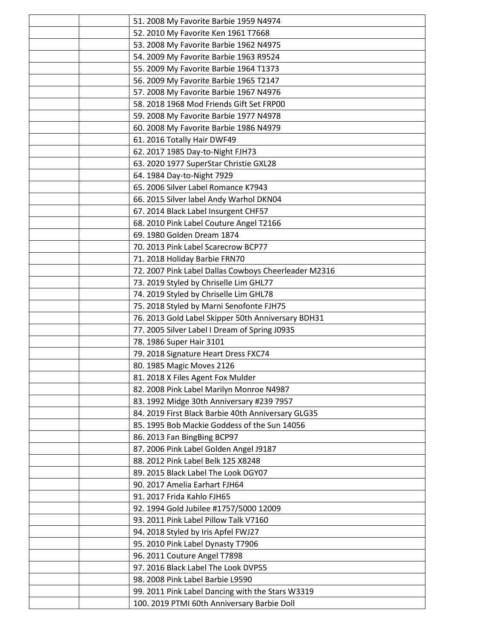| 51. 2008 My Favorite Barbie 1959 N4974               |
|------------------------------------------------------|
| 52. 2010 My Favorite Ken 1961 T7668                  |
| 53. 2008 My Favorite Barbie 1962 N4975               |
| 54. 2009 My Favorite Barbie 1963 R9524               |
| 55. 2009 My Favorite Barbie 1964 T1373               |
| 56. 2009 My Favorite Barbie 1965 T2147               |
| 57. 2008 My Favorite Barbie 1967 N4976               |
| 58. 2018 1968 Mod Friends Gift Set FRP00             |
| 59. 2008 My Favorite Barbie 1977 N4978               |
| 60. 2008 My Favorite Barbie 1986 N4979               |
| 61. 2016 Totally Hair DWF49                          |
| 62. 2017 1985 Day-to-Night FJH73                     |
| 63. 2020 1977 SuperStar Christie GXL28               |
| 64. 1984 Day-to-Night 7929                           |
| 65. 2006 Silver Label Romance K7943                  |
| 66. 2015 Silver label Andy Warhol DKN04              |
| 67. 2014 Black Label Insurgent CHF57                 |
| 68. 2010 Pink Label Couture Angel T2166              |
| 69. 1980 Golden Dream 1874                           |
| 70. 2013 Pink Label Scarecrow BCP77                  |
| 71. 2018 Holiday Barbie FRN70                        |
| 72. 2007 Pink Label Dallas Cowboys Cheerleader M2316 |
| 73. 2019 Styled by Chriselle Lim GHL77               |
| 74. 2019 Styled by Chriselle Lim GHL78               |
| 75. 2018 Styled by Marni Senofonte FJH75             |
| 76. 2013 Gold Label Skipper 50th Anniversary BDH31   |
| 77. 2005 Silver Label I Dream of Spring J0935        |
| 78. 1986 Super Hair 3101                             |
| 79. 2018 Signature Heart Dress FXC74                 |
| 80. 1985 Magic Moves 2126                            |
| 81. 2018 X Files Agent Fox Mulder                    |
| 82. 2008 Pink Label Marilyn Monroe N4987             |
| 83. 1992 Midge 30th Anniversary #239 7957            |
| 84. 2019 First Black Barbie 40th Anniversary GLG35   |
| 85. 1995 Bob Mackie Goddess of the Sun 14056         |
| 86. 2013 Fan BingBing BCP97                          |
| 87. 2006 Pink Label Golden Angel J9187               |
| 88. 2012 Pink Label Belk 125 X8248                   |
| 89. 2015 Black Label The Look DGY07                  |
| 90. 2017 Amelia Earhart FJH64                        |
| 91. 2017 Frida Kahlo FJH65                           |
| 92. 1994 Gold Jubilee #1757/5000 12009               |
| 93. 2011 Pink Label Pillow Talk V7160                |
| 94. 2018 Styled by Iris Apfel FWJ27                  |
| 95. 2010 Pink Label Dynasty T7906                    |
| 96. 2011 Couture Angel T7898                         |
| 97. 2016 Black Label The Look DVP55                  |
| 98. 2008 Pink Label Barbie L9590                     |
| 99. 2011 Pink Label Dancing with the Stars W3319     |
| 100. 2019 PTMI 60th Anniversary Barbie Doll          |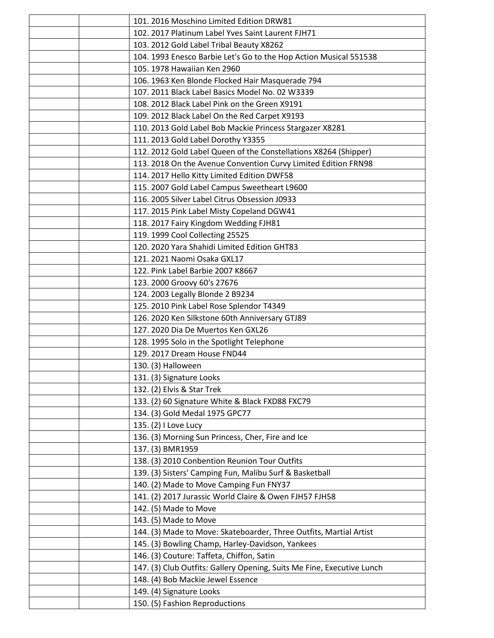| 101. 2016 Moschino Limited Edition DRW81                               |
|------------------------------------------------------------------------|
| 102. 2017 Platinum Label Yves Saint Laurent FJH71                      |
| 103. 2012 Gold Label Tribal Beauty X8262                               |
| 104. 1993 Enesco Barbie Let's Go to the Hop Action Musical 551538      |
| 105. 1978 Hawaiian Ken 2960                                            |
| 106. 1963 Ken Blonde Flocked Hair Masquerade 794                       |
| 107. 2011 Black Label Basics Model No. 02 W3339                        |
| 108. 2012 Black Label Pink on the Green X9191                          |
| 109. 2012 Black Label On the Red Carpet X9193                          |
| 110. 2013 Gold Label Bob Mackie Princess Stargazer X8281               |
| 111. 2013 Gold Label Dorothy Y3355                                     |
| 112. 2012 Gold Label Queen of the Constellations X8264 (Shipper)       |
| 113. 2018 On the Avenue Convention Curvy Limited Edition FRN98         |
| 114. 2017 Hello Kitty Limited Edition DWF58                            |
| 115. 2007 Gold Label Campus Sweetheart L9600                           |
| 116, 2005 Silver Label Citrus Obsession J0933                          |
| 117. 2015 Pink Label Misty Copeland DGW41                              |
| 118. 2017 Fairy Kingdom Wedding FJH81                                  |
| 119. 1999 Cool Collecting 25525                                        |
| 120. 2020 Yara Shahidi Limited Edition GHT83                           |
| 121. 2021 Naomi Osaka GXL17                                            |
| 122. Pink Label Barbie 2007 K8667                                      |
| 123. 2000 Groovy 60's 27676                                            |
| 124. 2003 Legally Blonde 2 B9234                                       |
| 125. 2010 Pink Label Rose Splendor T4349                               |
| 126. 2020 Ken Silkstone 60th Anniversary GTJ89                         |
| 127. 2020 Dia De Muertos Ken GXL26                                     |
| 128. 1995 Solo in the Spotlight Telephone                              |
| 129. 2017 Dream House FND44                                            |
| 130. (3) Halloween                                                     |
| 131. (3) Signature Looks                                               |
| 132. (2) Elvis & Star Trek                                             |
| 133. (2) 60 Signature White & Black FXD88 FXC79                        |
| 134. (3) Gold Medal 1975 GPC77                                         |
| 135. (2) I Love Lucy                                                   |
| 136. (3) Morning Sun Princess, Cher, Fire and Ice                      |
| 137. (3) BMR1959                                                       |
| 138. (3) 2010 Conbention Reunion Tour Outfits                          |
| 139. (3) Sisters' Camping Fun, Malibu Surf & Basketball                |
| 140. (2) Made to Move Camping Fun FNY37                                |
| 141. (2) 2017 Jurassic World Claire & Owen FJH57 FJH58                 |
| 142. (5) Made to Move                                                  |
| 143. (5) Made to Move                                                  |
| 144. (3) Made to Move: Skateboarder, Three Outfits, Martial Artist     |
| 145. (3) Bowling Champ, Harley-Davidson, Yankees                       |
| 146. (3) Couture: Taffeta, Chiffon, Satin                              |
| 147. (3) Club Outfits: Gallery Opening, Suits Me Fine, Executive Lunch |
| 148. (4) Bob Mackie Jewel Essence                                      |
| 149. (4) Signature Looks                                               |
| 150. (5) Fashion Reproductions                                         |
|                                                                        |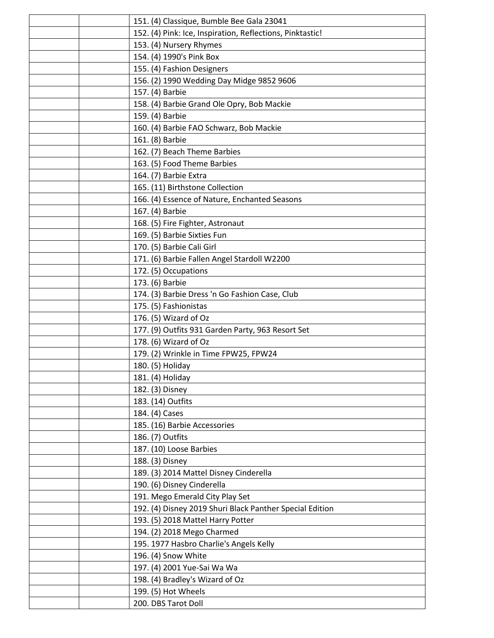|  | 151. (4) Classique, Bumble Bee Gala 23041                 |
|--|-----------------------------------------------------------|
|  | 152. (4) Pink: Ice, Inspiration, Reflections, Pinktastic! |
|  | 153. (4) Nursery Rhymes                                   |
|  | 154. (4) 1990's Pink Box                                  |
|  | 155. (4) Fashion Designers                                |
|  | 156. (2) 1990 Wedding Day Midge 9852 9606                 |
|  | 157. (4) Barbie                                           |
|  | 158. (4) Barbie Grand Ole Opry, Bob Mackie                |
|  | 159. (4) Barbie                                           |
|  | 160. (4) Barbie FAO Schwarz, Bob Mackie                   |
|  | 161. (8) Barbie                                           |
|  | 162. (7) Beach Theme Barbies                              |
|  | 163. (5) Food Theme Barbies                               |
|  | 164. (7) Barbie Extra                                     |
|  | 165. (11) Birthstone Collection                           |
|  | 166. (4) Essence of Nature, Enchanted Seasons             |
|  | 167. (4) Barbie                                           |
|  | 168. (5) Fire Fighter, Astronaut                          |
|  | 169. (5) Barbie Sixties Fun                               |
|  | 170. (5) Barbie Cali Girl                                 |
|  | 171. (6) Barbie Fallen Angel Stardoll W2200               |
|  | 172. (5) Occupations                                      |
|  | 173. (6) Barbie                                           |
|  | 174. (3) Barbie Dress 'n Go Fashion Case, Club            |
|  | 175. (5) Fashionistas                                     |
|  | 176. (5) Wizard of Oz                                     |
|  | 177. (9) Outfits 931 Garden Party, 963 Resort Set         |
|  | 178. (6) Wizard of Oz                                     |
|  | 179. (2) Wrinkle in Time FPW25, FPW24                     |
|  | 180. (5) Holiday                                          |
|  | 181. (4) Holiday                                          |
|  | 182. (3) Disney                                           |
|  | 183. (14) Outfits                                         |
|  | 184. (4) Cases                                            |
|  | 185. (16) Barbie Accessories                              |
|  | 186. (7) Outfits                                          |
|  | 187. (10) Loose Barbies                                   |
|  | 188. (3) Disney                                           |
|  | 189. (3) 2014 Mattel Disney Cinderella                    |
|  | 190. (6) Disney Cinderella                                |
|  | 191. Mego Emerald City Play Set                           |
|  | 192. (4) Disney 2019 Shuri Black Panther Special Edition  |
|  | 193. (5) 2018 Mattel Harry Potter                         |
|  | 194. (2) 2018 Mego Charmed                                |
|  | 195. 1977 Hasbro Charlie's Angels Kelly                   |
|  | 196. (4) Snow White                                       |
|  | 197. (4) 2001 Yue-Sai Wa Wa                               |
|  | 198. (4) Bradley's Wizard of Oz                           |
|  | 199. (5) Hot Wheels                                       |
|  | 200. DBS Tarot Doll                                       |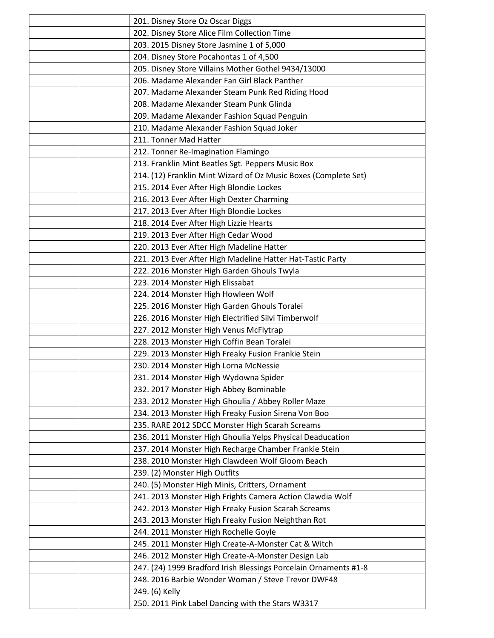|  | 201. Disney Store Oz Oscar Diggs                                 |
|--|------------------------------------------------------------------|
|  | 202. Disney Store Alice Film Collection Time                     |
|  | 203. 2015 Disney Store Jasmine 1 of 5,000                        |
|  | 204. Disney Store Pocahontas 1 of 4,500                          |
|  | 205. Disney Store Villains Mother Gothel 9434/13000              |
|  | 206. Madame Alexander Fan Girl Black Panther                     |
|  | 207. Madame Alexander Steam Punk Red Riding Hood                 |
|  | 208. Madame Alexander Steam Punk Glinda                          |
|  | 209. Madame Alexander Fashion Squad Penguin                      |
|  | 210. Madame Alexander Fashion Squad Joker                        |
|  | 211. Tonner Mad Hatter                                           |
|  | 212. Tonner Re-Imagination Flamingo                              |
|  | 213. Franklin Mint Beatles Sgt. Peppers Music Box                |
|  | 214. (12) Franklin Mint Wizard of Oz Music Boxes (Complete Set)  |
|  | 215. 2014 Ever After High Blondie Lockes                         |
|  | 216. 2013 Ever After High Dexter Charming                        |
|  | 217. 2013 Ever After High Blondie Lockes                         |
|  | 218. 2014 Ever After High Lizzie Hearts                          |
|  | 219. 2013 Ever After High Cedar Wood                             |
|  | 220. 2013 Ever After High Madeline Hatter                        |
|  | 221. 2013 Ever After High Madeline Hatter Hat-Tastic Party       |
|  | 222. 2016 Monster High Garden Ghouls Twyla                       |
|  | 223. 2014 Monster High Elissabat                                 |
|  | 224. 2014 Monster High Howleen Wolf                              |
|  | 225. 2016 Monster High Garden Ghouls Toralei                     |
|  | 226. 2016 Monster High Electrified Silvi Timberwolf              |
|  | 227. 2012 Monster High Venus McFlytrap                           |
|  | 228. 2013 Monster High Coffin Bean Toralei                       |
|  | 229. 2013 Monster High Freaky Fusion Frankie Stein               |
|  | 230. 2014 Monster High Lorna McNessie                            |
|  | 231. 2014 Monster High Wydowna Spider                            |
|  | 232. 2017 Monster High Abbey Bominable                           |
|  | 233. 2012 Monster High Ghoulia / Abbey Roller Maze               |
|  | 234. 2013 Monster High Freaky Fusion Sirena Von Boo              |
|  | 235. RARE 2012 SDCC Monster High Scarah Screams                  |
|  | 236. 2011 Monster High Ghoulia Yelps Physical Deaducation        |
|  | 237. 2014 Monster High Recharge Chamber Frankie Stein            |
|  | 238. 2010 Monster High Clawdeen Wolf Gloom Beach                 |
|  | 239. (2) Monster High Outfits                                    |
|  | 240. (5) Monster High Minis, Critters, Ornament                  |
|  | 241. 2013 Monster High Frights Camera Action Clawdia Wolf        |
|  | 242. 2013 Monster High Freaky Fusion Scarah Screams              |
|  | 243. 2013 Monster High Freaky Fusion Neighthan Rot               |
|  | 244. 2011 Monster High Rochelle Goyle                            |
|  | 245. 2011 Monster High Create-A-Monster Cat & Witch              |
|  | 246. 2012 Monster High Create-A-Monster Design Lab               |
|  | 247. (24) 1999 Bradford Irish Blessings Porcelain Ornaments #1-8 |
|  | 248. 2016 Barbie Wonder Woman / Steve Trevor DWF48               |
|  | 249. (6) Kelly                                                   |
|  | 250. 2011 Pink Label Dancing with the Stars W3317                |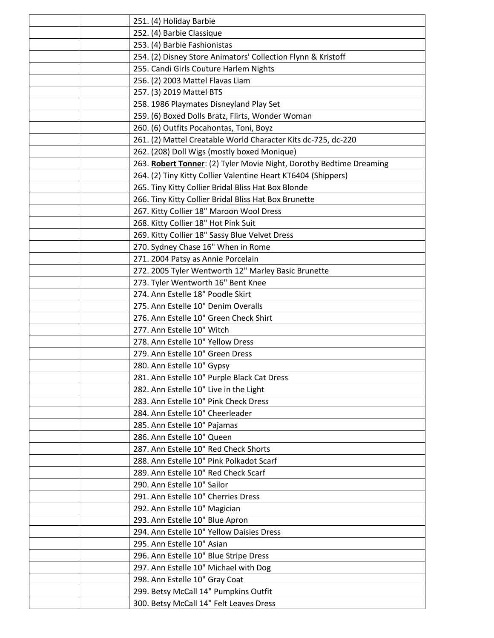|  | 251. (4) Holiday Barbie                                             |
|--|---------------------------------------------------------------------|
|  | 252. (4) Barbie Classique                                           |
|  | 253. (4) Barbie Fashionistas                                        |
|  | 254. (2) Disney Store Animators' Collection Flynn & Kristoff        |
|  | 255. Candi Girls Couture Harlem Nights                              |
|  | 256. (2) 2003 Mattel Flavas Liam                                    |
|  | 257. (3) 2019 Mattel BTS                                            |
|  | 258. 1986 Playmates Disneyland Play Set                             |
|  | 259. (6) Boxed Dolls Bratz, Flirts, Wonder Woman                    |
|  | 260. (6) Outfits Pocahontas, Toni, Boyz                             |
|  | 261. (2) Mattel Creatable World Character Kits dc-725, dc-220       |
|  | 262. (208) Doll Wigs (mostly boxed Monique)                         |
|  | 263. Robert Tonner: (2) Tyler Movie Night, Dorothy Bedtime Dreaming |
|  | 264. (2) Tiny Kitty Collier Valentine Heart KT6404 (Shippers)       |
|  | 265. Tiny Kitty Collier Bridal Bliss Hat Box Blonde                 |
|  | 266. Tiny Kitty Collier Bridal Bliss Hat Box Brunette               |
|  | 267. Kitty Collier 18" Maroon Wool Dress                            |
|  | 268. Kitty Collier 18" Hot Pink Suit                                |
|  | 269. Kitty Collier 18" Sassy Blue Velvet Dress                      |
|  | 270. Sydney Chase 16" When in Rome                                  |
|  | 271. 2004 Patsy as Annie Porcelain                                  |
|  | 272. 2005 Tyler Wentworth 12" Marley Basic Brunette                 |
|  | 273. Tyler Wentworth 16" Bent Knee                                  |
|  | 274. Ann Estelle 18" Poodle Skirt                                   |
|  | 275. Ann Estelle 10" Denim Overalls                                 |
|  | 276. Ann Estelle 10" Green Check Shirt                              |
|  | 277. Ann Estelle 10" Witch                                          |
|  | 278. Ann Estelle 10" Yellow Dress                                   |
|  | 279. Ann Estelle 10" Green Dress                                    |
|  | 280. Ann Estelle 10" Gypsy                                          |
|  | 281. Ann Estelle 10" Purple Black Cat Dress                         |
|  | 282. Ann Estelle 10" Live in the Light                              |
|  | 283. Ann Estelle 10" Pink Check Dress                               |
|  | 284. Ann Estelle 10" Cheerleader                                    |
|  | 285. Ann Estelle 10" Pajamas                                        |
|  | 286. Ann Estelle 10" Queen                                          |
|  | 287. Ann Estelle 10" Red Check Shorts                               |
|  | 288. Ann Estelle 10" Pink Polkadot Scarf                            |
|  | 289. Ann Estelle 10" Red Check Scarf                                |
|  | 290. Ann Estelle 10" Sailor                                         |
|  | 291. Ann Estelle 10" Cherries Dress                                 |
|  | 292. Ann Estelle 10" Magician                                       |
|  | 293. Ann Estelle 10" Blue Apron                                     |
|  | 294. Ann Estelle 10" Yellow Daisies Dress                           |
|  | 295. Ann Estelle 10" Asian                                          |
|  | 296. Ann Estelle 10" Blue Stripe Dress                              |
|  | 297. Ann Estelle 10" Michael with Dog                               |
|  | 298. Ann Estelle 10" Gray Coat                                      |
|  | 299. Betsy McCall 14" Pumpkins Outfit                               |
|  | 300. Betsy McCall 14" Felt Leaves Dress                             |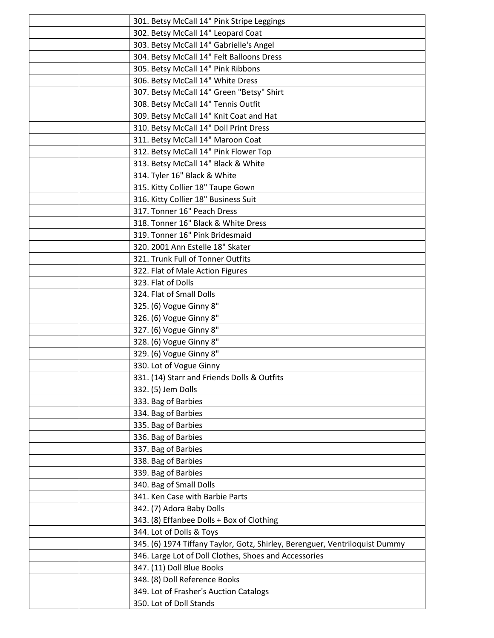|  | 301. Betsy McCall 14" Pink Stripe Leggings                                  |
|--|-----------------------------------------------------------------------------|
|  | 302. Betsy McCall 14" Leopard Coat                                          |
|  | 303. Betsy McCall 14" Gabrielle's Angel                                     |
|  | 304. Betsy McCall 14" Felt Balloons Dress                                   |
|  | 305. Betsy McCall 14" Pink Ribbons                                          |
|  | 306. Betsy McCall 14" White Dress                                           |
|  | 307. Betsy McCall 14" Green "Betsy" Shirt                                   |
|  | 308. Betsy McCall 14" Tennis Outfit                                         |
|  | 309. Betsy McCall 14" Knit Coat and Hat                                     |
|  | 310. Betsy McCall 14" Doll Print Dress                                      |
|  | 311. Betsy McCall 14" Maroon Coat                                           |
|  | 312. Betsy McCall 14" Pink Flower Top                                       |
|  | 313. Betsy McCall 14" Black & White                                         |
|  | 314. Tyler 16" Black & White                                                |
|  | 315. Kitty Collier 18" Taupe Gown                                           |
|  | 316. Kitty Collier 18" Business Suit                                        |
|  | 317. Tonner 16" Peach Dress                                                 |
|  | 318. Tonner 16" Black & White Dress                                         |
|  | 319. Tonner 16" Pink Bridesmaid                                             |
|  | 320. 2001 Ann Estelle 18" Skater                                            |
|  | 321. Trunk Full of Tonner Outfits                                           |
|  | 322. Flat of Male Action Figures                                            |
|  | 323. Flat of Dolls                                                          |
|  | 324. Flat of Small Dolls                                                    |
|  | 325. (6) Vogue Ginny 8"                                                     |
|  | 326. (6) Vogue Ginny 8"                                                     |
|  | 327. (6) Vogue Ginny 8"                                                     |
|  | 328. (6) Vogue Ginny 8"                                                     |
|  | 329. (6) Vogue Ginny 8"                                                     |
|  | 330. Lot of Vogue Ginny                                                     |
|  | 331. (14) Starr and Friends Dolls & Outfits                                 |
|  | 332. (5) Jem Dolls                                                          |
|  | 333. Bag of Barbies                                                         |
|  | 334. Bag of Barbies                                                         |
|  | 335. Bag of Barbies                                                         |
|  | 336. Bag of Barbies                                                         |
|  | 337. Bag of Barbies                                                         |
|  | 338. Bag of Barbies                                                         |
|  | 339. Bag of Barbies                                                         |
|  | 340. Bag of Small Dolls                                                     |
|  | 341. Ken Case with Barbie Parts                                             |
|  | 342. (7) Adora Baby Dolls                                                   |
|  | 343. (8) Effanbee Dolls + Box of Clothing                                   |
|  | 344. Lot of Dolls & Toys                                                    |
|  | 345. (6) 1974 Tiffany Taylor, Gotz, Shirley, Berenguer, Ventriloquist Dummy |
|  | 346. Large Lot of Doll Clothes, Shoes and Accessories                       |
|  | 347. (11) Doll Blue Books                                                   |
|  | 348. (8) Doll Reference Books                                               |
|  | 349. Lot of Frasher's Auction Catalogs                                      |
|  | 350. Lot of Doll Stands                                                     |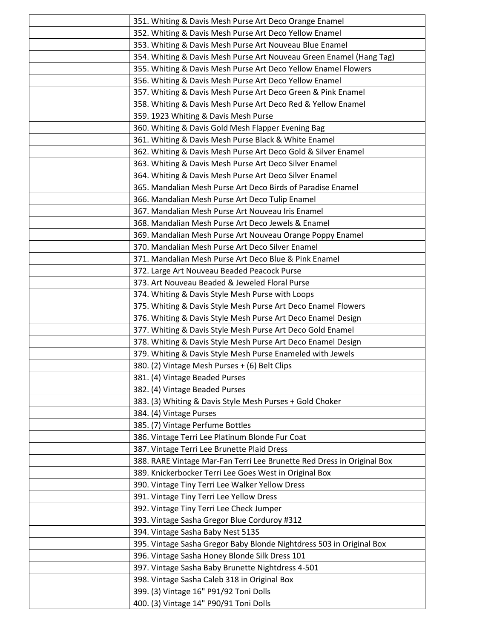|  | 351. Whiting & Davis Mesh Purse Art Deco Orange Enamel                                        |
|--|-----------------------------------------------------------------------------------------------|
|  | 352. Whiting & Davis Mesh Purse Art Deco Yellow Enamel                                        |
|  | 353. Whiting & Davis Mesh Purse Art Nouveau Blue Enamel                                       |
|  | 354. Whiting & Davis Mesh Purse Art Nouveau Green Enamel (Hang Tag)                           |
|  | 355. Whiting & Davis Mesh Purse Art Deco Yellow Enamel Flowers                                |
|  | 356. Whiting & Davis Mesh Purse Art Deco Yellow Enamel                                        |
|  | 357. Whiting & Davis Mesh Purse Art Deco Green & Pink Enamel                                  |
|  | 358. Whiting & Davis Mesh Purse Art Deco Red & Yellow Enamel                                  |
|  | 359. 1923 Whiting & Davis Mesh Purse                                                          |
|  | 360. Whiting & Davis Gold Mesh Flapper Evening Bag                                            |
|  | 361. Whiting & Davis Mesh Purse Black & White Enamel                                          |
|  | 362. Whiting & Davis Mesh Purse Art Deco Gold & Silver Enamel                                 |
|  | 363. Whiting & Davis Mesh Purse Art Deco Silver Enamel                                        |
|  | 364. Whiting & Davis Mesh Purse Art Deco Silver Enamel                                        |
|  | 365. Mandalian Mesh Purse Art Deco Birds of Paradise Enamel                                   |
|  | 366. Mandalian Mesh Purse Art Deco Tulip Enamel                                               |
|  | 367. Mandalian Mesh Purse Art Nouveau Iris Enamel                                             |
|  | 368. Mandalian Mesh Purse Art Deco Jewels & Enamel                                            |
|  | 369. Mandalian Mesh Purse Art Nouveau Orange Poppy Enamel                                     |
|  | 370. Mandalian Mesh Purse Art Deco Silver Enamel                                              |
|  | 371. Mandalian Mesh Purse Art Deco Blue & Pink Enamel                                         |
|  |                                                                                               |
|  | 372. Large Art Nouveau Beaded Peacock Purse<br>373. Art Nouveau Beaded & Jeweled Floral Purse |
|  |                                                                                               |
|  | 374. Whiting & Davis Style Mesh Purse with Loops                                              |
|  | 375. Whiting & Davis Style Mesh Purse Art Deco Enamel Flowers                                 |
|  | 376. Whiting & Davis Style Mesh Purse Art Deco Enamel Design                                  |
|  | 377. Whiting & Davis Style Mesh Purse Art Deco Gold Enamel                                    |
|  | 378. Whiting & Davis Style Mesh Purse Art Deco Enamel Design                                  |
|  | 379. Whiting & Davis Style Mesh Purse Enameled with Jewels                                    |
|  | 380. (2) Vintage Mesh Purses + (6) Belt Clips                                                 |
|  | 381. (4) Vintage Beaded Purses                                                                |
|  | 382. (4) Vintage Beaded Purses                                                                |
|  | 383. (3) Whiting & Davis Style Mesh Purses + Gold Choker                                      |
|  | 384. (4) Vintage Purses                                                                       |
|  | 385. (7) Vintage Perfume Bottles                                                              |
|  | 386. Vintage Terri Lee Platinum Blonde Fur Coat                                               |
|  | 387. Vintage Terri Lee Brunette Plaid Dress                                                   |
|  | 388. RARE Vintage Mar-Fan Terri Lee Brunette Red Dress in Original Box                        |
|  | 389. Knickerbocker Terri Lee Goes West in Original Box                                        |
|  | 390. Vintage Tiny Terri Lee Walker Yellow Dress                                               |
|  | 391. Vintage Tiny Terri Lee Yellow Dress                                                      |
|  | 392. Vintage Tiny Terri Lee Check Jumper                                                      |
|  | 393. Vintage Sasha Gregor Blue Corduroy #312                                                  |
|  | 394. Vintage Sasha Baby Nest 513S                                                             |
|  | 395. Vintage Sasha Gregor Baby Blonde Nightdress 503 in Original Box                          |
|  | 396. Vintage Sasha Honey Blonde Silk Dress 101                                                |
|  | 397. Vintage Sasha Baby Brunette Nightdress 4-501                                             |
|  | 398. Vintage Sasha Caleb 318 in Original Box                                                  |
|  | 399. (3) Vintage 16" P91/92 Toni Dolls                                                        |
|  | 400. (3) Vintage 14" P90/91 Toni Dolls                                                        |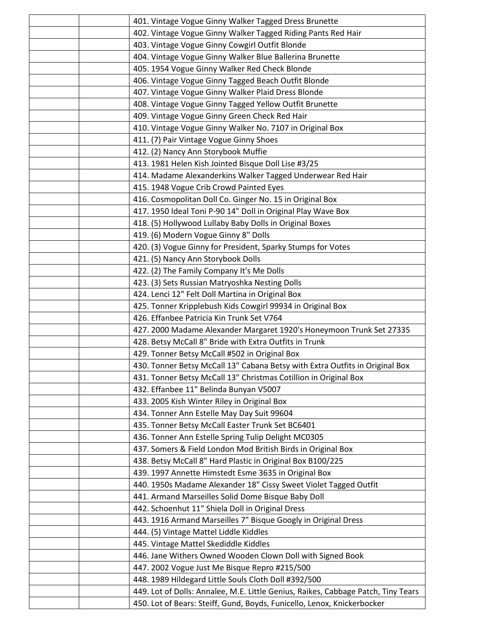|  | 401. Vintage Vogue Ginny Walker Tagged Dress Brunette                             |
|--|-----------------------------------------------------------------------------------|
|  | 402. Vintage Vogue Ginny Walker Tagged Riding Pants Red Hair                      |
|  | 403. Vintage Vogue Ginny Cowgirl Outfit Blonde                                    |
|  | 404. Vintage Vogue Ginny Walker Blue Ballerina Brunette                           |
|  | 405. 1954 Vogue Ginny Walker Red Check Blonde                                     |
|  | 406. Vintage Vogue Ginny Tagged Beach Outfit Blonde                               |
|  | 407. Vintage Vogue Ginny Walker Plaid Dress Blonde                                |
|  | 408. Vintage Vogue Ginny Tagged Yellow Outfit Brunette                            |
|  | 409. Vintage Vogue Ginny Green Check Red Hair                                     |
|  | 410. Vintage Vogue Ginny Walker No. 7107 in Original Box                          |
|  | 411. (7) Pair Vintage Vogue Ginny Shoes                                           |
|  | 412. (2) Nancy Ann Storybook Muffie                                               |
|  | 413. 1981 Helen Kish Jointed Bisque Doll Lise #3/25                               |
|  | 414. Madame Alexanderkins Walker Tagged Underwear Red Hair                        |
|  | 415. 1948 Vogue Crib Crowd Painted Eyes                                           |
|  | 416. Cosmopolitan Doll Co. Ginger No. 15 in Original Box                          |
|  | 417. 1950 Ideal Toni P-90 14" Doll in Original Play Wave Box                      |
|  | 418. (5) Hollywood Lullaby Baby Dolls in Original Boxes                           |
|  | 419. (6) Modern Vogue Ginny 8" Dolls                                              |
|  | 420. (3) Vogue Ginny for President, Sparky Stumps for Votes                       |
|  | 421. (5) Nancy Ann Storybook Dolls                                                |
|  | 422. (2) The Family Company It's Me Dolls                                         |
|  | 423. (3) Sets Russian Matryoshka Nesting Dolls                                    |
|  | 424. Lenci 12" Felt Doll Martina in Original Box                                  |
|  | 425. Tonner Kripplebush Kids Cowgirl 99934 in Original Box                        |
|  | 426. Effanbee Patricia Kin Trunk Set V764                                         |
|  | 427. 2000 Madame Alexander Margaret 1920's Honeymoon Trunk Set 27335              |
|  | 428. Betsy McCall 8" Bride with Extra Outfits in Trunk                            |
|  | 429. Tonner Betsy McCall #502 in Original Box                                     |
|  | 430. Tonner Betsy McCall 13" Cabana Betsy with Extra Outfits in Original Box      |
|  | 431. Tonner Betsy McCall 13" Christmas Cotillion in Original Box                  |
|  | 432. Effanbee 11" Belinda Bunyan V5007                                            |
|  | 433. 2005 Kish Winter Riley in Original Box                                       |
|  | 434. Tonner Ann Estelle May Day Suit 99604                                        |
|  | 435. Tonner Betsy McCall Easter Trunk Set BC6401                                  |
|  | 436. Tonner Ann Estelle Spring Tulip Delight MC0305                               |
|  | 437. Somers & Field London Mod British Birds in Original Box                      |
|  | 438. Betsy McCall 8" Hard Plastic in Original Box B100/225                        |
|  | 439. 1997 Annette Himstedt Esme 3635 in Original Box                              |
|  | 440. 1950s Madame Alexander 18" Cissy Sweet Violet Tagged Outfit                  |
|  | 441. Armand Marseilles Solid Dome Bisque Baby Doll                                |
|  | 442. Schoenhut 11" Shiela Doll in Original Dress                                  |
|  | 443. 1916 Armand Marseilles 7" Bisque Googly in Original Dress                    |
|  | 444. (5) Vintage Mattel Liddle Kiddles                                            |
|  | 445. Vintage Mattel Skediddle Kiddles                                             |
|  | 446. Jane Withers Owned Wooden Clown Doll with Signed Book                        |
|  | 447. 2002 Vogue Just Me Bisque Repro #215/500                                     |
|  | 448. 1989 Hildegard Little Souls Cloth Doll #392/500                              |
|  | 449. Lot of Dolls: Annalee, M.E. Little Genius, Raikes, Cabbage Patch, Tiny Tears |
|  | 450. Lot of Bears: Steiff, Gund, Boyds, Funicello, Lenox, Knickerbocker           |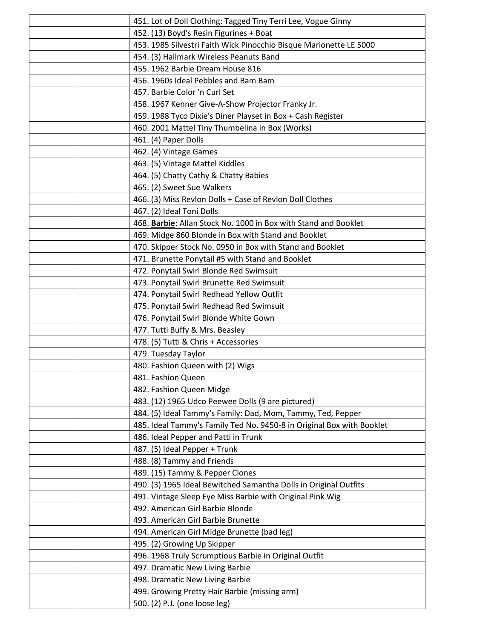|  | 451. Lot of Doll Clothing: Tagged Tiny Terri Lee, Vogue Ginny         |
|--|-----------------------------------------------------------------------|
|  | 452. (13) Boyd's Resin Figurines + Boat                               |
|  | 453. 1985 Silvestri Faith Wick Pinocchio Bisque Marionette LE 5000    |
|  | 454. (3) Hallmark Wireless Peanuts Band                               |
|  | 455. 1962 Barbie Dream House 816                                      |
|  | 456. 1960s Ideal Pebbles and Bam Bam                                  |
|  | 457. Barbie Color 'n Curl Set                                         |
|  | 458. 1967 Kenner Give-A-Show Projector Franky Jr.                     |
|  | 459. 1988 Tyco Dixie's Diner Playset in Box + Cash Register           |
|  | 460. 2001 Mattel Tiny Thumbelina in Box (Works)                       |
|  | 461. (4) Paper Dolls                                                  |
|  | 462. (4) Vintage Games                                                |
|  | 463. (5) Vintage Mattel Kiddles                                       |
|  | 464. (5) Chatty Cathy & Chatty Babies                                 |
|  | 465. (2) Sweet Sue Walkers                                            |
|  | 466. (3) Miss Revlon Dolls + Case of Revlon Doll Clothes              |
|  | 467. (2) Ideal Toni Dolls                                             |
|  | 468. Barbie: Allan Stock No. 1000 in Box with Stand and Booklet       |
|  | 469. Midge 860 Blonde in Box with Stand and Booklet                   |
|  | 470. Skipper Stock No. 0950 in Box with Stand and Booklet             |
|  | 471. Brunette Ponytail #5 with Stand and Booklet                      |
|  | 472. Ponytail Swirl Blonde Red Swimsuit                               |
|  | 473. Ponytail Swirl Brunette Red Swimsuit                             |
|  | 474. Ponytail Swirl Redhead Yellow Outfit                             |
|  | 475. Ponytail Swirl Redhead Red Swimsuit                              |
|  | 476. Ponytail Swirl Blonde White Gown                                 |
|  | 477. Tutti Buffy & Mrs. Beasley                                       |
|  | 478. (5) Tutti & Chris + Accessories                                  |
|  | 479. Tuesday Taylor                                                   |
|  | 480. Fashion Queen with (2) Wigs                                      |
|  | 481. Fashion Queen                                                    |
|  | 482. Fashion Queen Midge                                              |
|  | 483. (12) 1965 Udco Peewee Dolls (9 are pictured)                     |
|  | 484. (5) Ideal Tammy's Family: Dad, Mom, Tammy, Ted, Pepper           |
|  | 485. Ideal Tammy's Family Ted No. 9450-8 in Original Box with Booklet |
|  | 486. Ideal Pepper and Patti in Trunk                                  |
|  | 487. (5) Ideal Pepper + Trunk                                         |
|  | 488. (8) Tammy and Friends                                            |
|  | 489. (15) Tammy & Pepper Clones                                       |
|  | 490. (3) 1965 Ideal Bewitched Samantha Dolls in Original Outfits      |
|  | 491. Vintage Sleep Eye Miss Barbie with Original Pink Wig             |
|  | 492. American Girl Barbie Blonde                                      |
|  | 493. American Girl Barbie Brunette                                    |
|  | 494. American Girl Midge Brunette (bad leg)                           |
|  | 495. (2) Growing Up Skipper                                           |
|  | 496. 1968 Truly Scrumptious Barbie in Original Outfit                 |
|  | 497. Dramatic New Living Barbie                                       |
|  | 498. Dramatic New Living Barbie                                       |
|  | 499. Growing Pretty Hair Barbie (missing arm)                         |
|  | 500. (2) P.J. (one loose leg)                                         |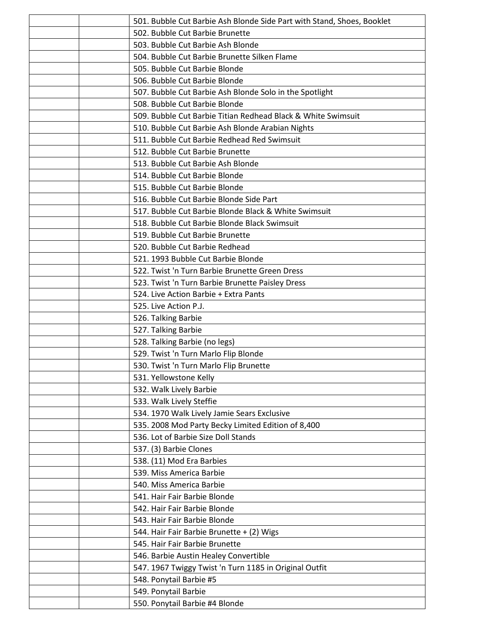|  | 501. Bubble Cut Barbie Ash Blonde Side Part with Stand, Shoes, Booklet |
|--|------------------------------------------------------------------------|
|  | 502. Bubble Cut Barbie Brunette                                        |
|  | 503. Bubble Cut Barbie Ash Blonde                                      |
|  | 504. Bubble Cut Barbie Brunette Silken Flame                           |
|  | 505. Bubble Cut Barbie Blonde                                          |
|  | 506. Bubble Cut Barbie Blonde                                          |
|  | 507. Bubble Cut Barbie Ash Blonde Solo in the Spotlight                |
|  | 508. Bubble Cut Barbie Blonde                                          |
|  | 509. Bubble Cut Barbie Titian Redhead Black & White Swimsuit           |
|  | 510. Bubble Cut Barbie Ash Blonde Arabian Nights                       |
|  | 511. Bubble Cut Barbie Redhead Red Swimsuit                            |
|  | 512. Bubble Cut Barbie Brunette                                        |
|  | 513. Bubble Cut Barbie Ash Blonde                                      |
|  | 514. Bubble Cut Barbie Blonde                                          |
|  | 515. Bubble Cut Barbie Blonde                                          |
|  | 516. Bubble Cut Barbie Blonde Side Part                                |
|  | 517. Bubble Cut Barbie Blonde Black & White Swimsuit                   |
|  | 518. Bubble Cut Barbie Blonde Black Swimsuit                           |
|  | 519. Bubble Cut Barbie Brunette                                        |
|  | 520. Bubble Cut Barbie Redhead                                         |
|  | 521. 1993 Bubble Cut Barbie Blonde                                     |
|  | 522. Twist 'n Turn Barbie Brunette Green Dress                         |
|  | 523. Twist 'n Turn Barbie Brunette Paisley Dress                       |
|  | 524. Live Action Barbie + Extra Pants                                  |
|  | 525. Live Action P.J.                                                  |
|  | 526. Talking Barbie                                                    |
|  | 527. Talking Barbie                                                    |
|  | 528. Talking Barbie (no legs)                                          |
|  | 529. Twist 'n Turn Marlo Flip Blonde                                   |
|  | 530. Twist 'n Turn Marlo Flip Brunette                                 |
|  | 531. Yellowstone Kelly                                                 |
|  | 532. Walk Lively Barbie                                                |
|  | 533. Walk Lively Steffie                                               |
|  | 534. 1970 Walk Lively Jamie Sears Exclusive                            |
|  | 535. 2008 Mod Party Becky Limited Edition of 8,400                     |
|  | 536. Lot of Barbie Size Doll Stands                                    |
|  | 537. (3) Barbie Clones                                                 |
|  | 538. (11) Mod Era Barbies                                              |
|  | 539. Miss America Barbie                                               |
|  | 540. Miss America Barbie                                               |
|  | 541. Hair Fair Barbie Blonde                                           |
|  | 542. Hair Fair Barbie Blonde                                           |
|  | 543. Hair Fair Barbie Blonde                                           |
|  | 544. Hair Fair Barbie Brunette + (2) Wigs                              |
|  | 545. Hair Fair Barbie Brunette                                         |
|  | 546. Barbie Austin Healey Convertible                                  |
|  | 547. 1967 Twiggy Twist 'n Turn 1185 in Original Outfit                 |
|  | 548. Ponytail Barbie #5                                                |
|  | 549. Ponytail Barbie                                                   |
|  | 550. Ponytail Barbie #4 Blonde                                         |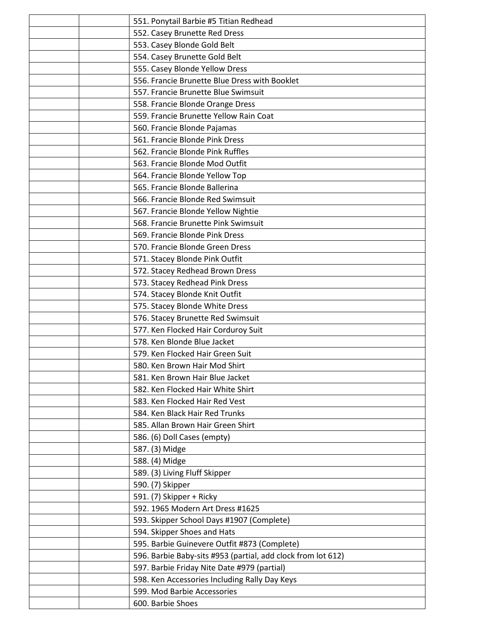|  | 551. Ponytail Barbie #5 Titian Redhead                       |
|--|--------------------------------------------------------------|
|  | 552. Casey Brunette Red Dress                                |
|  | 553. Casey Blonde Gold Belt                                  |
|  | 554. Casey Brunette Gold Belt                                |
|  | 555. Casey Blonde Yellow Dress                               |
|  | 556. Francie Brunette Blue Dress with Booklet                |
|  | 557. Francie Brunette Blue Swimsuit                          |
|  | 558. Francie Blonde Orange Dress                             |
|  | 559. Francie Brunette Yellow Rain Coat                       |
|  | 560. Francie Blonde Pajamas                                  |
|  | 561. Francie Blonde Pink Dress                               |
|  | 562. Francie Blonde Pink Ruffles                             |
|  | 563. Francie Blonde Mod Outfit                               |
|  | 564. Francie Blonde Yellow Top                               |
|  | 565. Francie Blonde Ballerina                                |
|  | 566. Francie Blonde Red Swimsuit                             |
|  | 567. Francie Blonde Yellow Nightie                           |
|  | 568. Francie Brunette Pink Swimsuit                          |
|  | 569. Francie Blonde Pink Dress                               |
|  | 570. Francie Blonde Green Dress                              |
|  | 571. Stacey Blonde Pink Outfit                               |
|  | 572. Stacey Redhead Brown Dress                              |
|  | 573. Stacey Redhead Pink Dress                               |
|  | 574. Stacey Blonde Knit Outfit                               |
|  | 575. Stacey Blonde White Dress                               |
|  | 576. Stacey Brunette Red Swimsuit                            |
|  | 577. Ken Flocked Hair Corduroy Suit                          |
|  | 578. Ken Blonde Blue Jacket                                  |
|  | 579. Ken Flocked Hair Green Suit                             |
|  | 580. Ken Brown Hair Mod Shirt                                |
|  | 581. Ken Brown Hair Blue Jacket                              |
|  | 582. Ken Flocked Hair White Shirt                            |
|  | 583. Ken Flocked Hair Red Vest                               |
|  | 584. Ken Black Hair Red Trunks                               |
|  | 585. Allan Brown Hair Green Shirt                            |
|  | 586. (6) Doll Cases (empty)                                  |
|  | 587. (3) Midge                                               |
|  | 588. (4) Midge                                               |
|  | 589. (3) Living Fluff Skipper                                |
|  | 590. (7) Skipper                                             |
|  | 591. (7) Skipper + Ricky                                     |
|  | 592. 1965 Modern Art Dress #1625                             |
|  | 593. Skipper School Days #1907 (Complete)                    |
|  | 594. Skipper Shoes and Hats                                  |
|  | 595. Barbie Guinevere Outfit #873 (Complete)                 |
|  | 596. Barbie Baby-sits #953 (partial, add clock from lot 612) |
|  | 597. Barbie Friday Nite Date #979 (partial)                  |
|  | 598. Ken Accessories Including Rally Day Keys                |
|  | 599. Mod Barbie Accessories                                  |
|  | 600. Barbie Shoes                                            |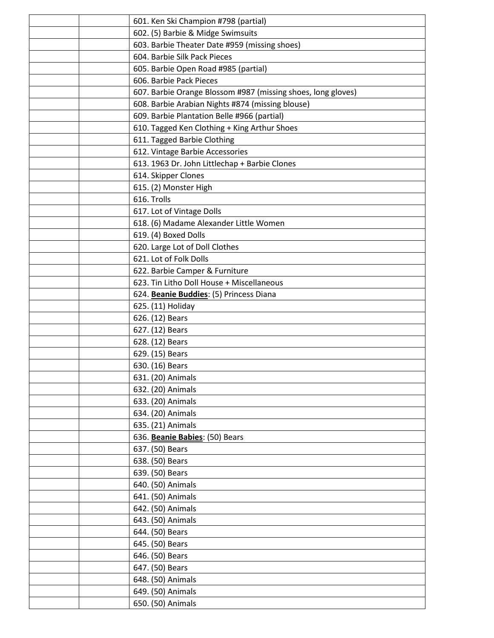|  | 601. Ken Ski Champion #798 (partial)                         |  |
|--|--------------------------------------------------------------|--|
|  | 602. (5) Barbie & Midge Swimsuits                            |  |
|  | 603. Barbie Theater Date #959 (missing shoes)                |  |
|  | 604. Barbie Silk Pack Pieces                                 |  |
|  | 605. Barbie Open Road #985 (partial)                         |  |
|  | 606. Barbie Pack Pieces                                      |  |
|  | 607. Barbie Orange Blossom #987 (missing shoes, long gloves) |  |
|  | 608. Barbie Arabian Nights #874 (missing blouse)             |  |
|  | 609. Barbie Plantation Belle #966 (partial)                  |  |
|  | 610. Tagged Ken Clothing + King Arthur Shoes                 |  |
|  | 611. Tagged Barbie Clothing                                  |  |
|  | 612. Vintage Barbie Accessories                              |  |
|  | 613. 1963 Dr. John Littlechap + Barbie Clones                |  |
|  | 614. Skipper Clones                                          |  |
|  | 615. (2) Monster High                                        |  |
|  | 616. Trolls                                                  |  |
|  | 617. Lot of Vintage Dolls                                    |  |
|  | 618. (6) Madame Alexander Little Women                       |  |
|  | 619. (4) Boxed Dolls                                         |  |
|  | 620. Large Lot of Doll Clothes                               |  |
|  | 621. Lot of Folk Dolls                                       |  |
|  | 622. Barbie Camper & Furniture                               |  |
|  | 623. Tin Litho Doll House + Miscellaneous                    |  |
|  | 624. Beanie Buddies: (5) Princess Diana                      |  |
|  | 625. (11) Holiday                                            |  |
|  | 626. (12) Bears                                              |  |
|  | 627. (12) Bears                                              |  |
|  | 628. (12) Bears                                              |  |
|  | 629. (15) Bears                                              |  |
|  | 630. (16) Bears                                              |  |
|  | 631. (20) Animals                                            |  |
|  | 632. (20) Animals                                            |  |
|  | 633. (20) Animals                                            |  |
|  | 634. (20) Animals                                            |  |
|  | 635. (21) Animals                                            |  |
|  | 636. Beanie Babies: (50) Bears                               |  |
|  | 637. (50) Bears                                              |  |
|  | 638. (50) Bears                                              |  |
|  | 639. (50) Bears                                              |  |
|  | 640. (50) Animals                                            |  |
|  | 641. (50) Animals                                            |  |
|  | 642. (50) Animals                                            |  |
|  | 643. (50) Animals                                            |  |
|  | 644. (50) Bears                                              |  |
|  | 645. (50) Bears                                              |  |
|  | 646. (50) Bears                                              |  |
|  | 647. (50) Bears                                              |  |
|  | 648. (50) Animals                                            |  |
|  | 649. (50) Animals                                            |  |
|  | 650. (50) Animals                                            |  |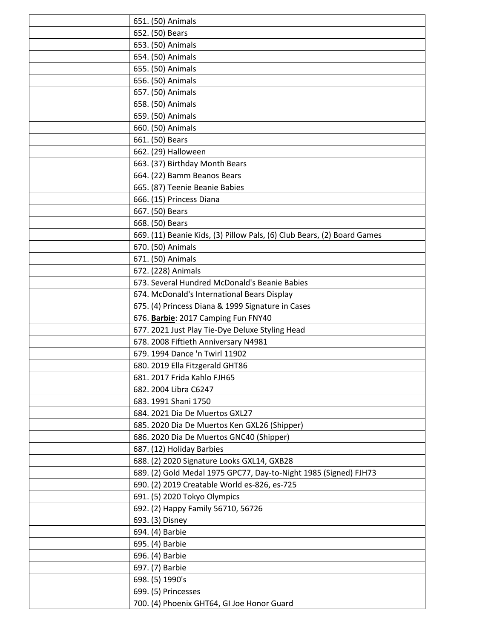|  | 651. (50) Animals                                                       |
|--|-------------------------------------------------------------------------|
|  | 652. (50) Bears                                                         |
|  | 653. (50) Animals                                                       |
|  | 654. (50) Animals                                                       |
|  |                                                                         |
|  | 655. (50) Animals                                                       |
|  | 656. (50) Animals                                                       |
|  | 657. (50) Animals                                                       |
|  | 658. (50) Animals                                                       |
|  | 659. (50) Animals                                                       |
|  | 660. (50) Animals                                                       |
|  | 661. (50) Bears                                                         |
|  | 662. (29) Halloween                                                     |
|  | 663. (37) Birthday Month Bears                                          |
|  | 664. (22) Bamm Beanos Bears                                             |
|  | 665. (87) Teenie Beanie Babies                                          |
|  | 666. (15) Princess Diana                                                |
|  | 667. (50) Bears                                                         |
|  | 668. (50) Bears                                                         |
|  | 669. (11) Beanie Kids, (3) Pillow Pals, (6) Club Bears, (2) Board Games |
|  | 670. (50) Animals                                                       |
|  | 671. (50) Animals                                                       |
|  | 672. (228) Animals                                                      |
|  | 673. Several Hundred McDonald's Beanie Babies                           |
|  | 674. McDonald's International Bears Display                             |
|  | 675. (4) Princess Diana & 1999 Signature in Cases                       |
|  |                                                                         |
|  | 676. Barbie: 2017 Camping Fun FNY40                                     |
|  | 677. 2021 Just Play Tie-Dye Deluxe Styling Head                         |
|  | 678. 2008 Fiftieth Anniversary N4981                                    |
|  | 679. 1994 Dance 'n Twirl 11902                                          |
|  | 680. 2019 Ella Fitzgerald GHT86                                         |
|  | 681. 2017 Frida Kahlo FJH65                                             |
|  | 682. 2004 Libra C6247                                                   |
|  | 683. 1991 Shani 1750                                                    |
|  | 684. 2021 Dia De Muertos GXL27                                          |
|  | 685. 2020 Dia De Muertos Ken GXL26 (Shipper)                            |
|  | 686. 2020 Dia De Muertos GNC40 (Shipper)                                |
|  | 687. (12) Holiday Barbies                                               |
|  | 688. (2) 2020 Signature Looks GXL14, GXB28                              |
|  | 689. (2) Gold Medal 1975 GPC77, Day-to-Night 1985 (Signed) FJH73        |
|  | 690. (2) 2019 Creatable World es-826, es-725                            |
|  | 691. (5) 2020 Tokyo Olympics                                            |
|  | 692. (2) Happy Family 56710, 56726                                      |
|  | 693. (3) Disney                                                         |
|  | 694. (4) Barbie                                                         |
|  | 695. (4) Barbie                                                         |
|  | 696. (4) Barbie                                                         |
|  | 697. (7) Barbie                                                         |
|  | 698. (5) 1990's                                                         |
|  | 699. (5) Princesses                                                     |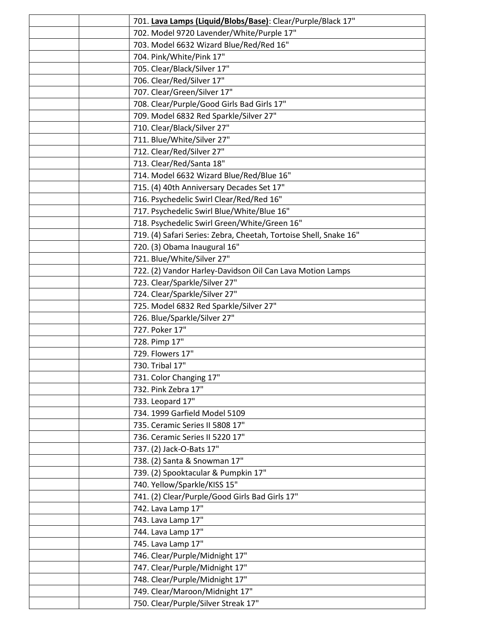|                                     | 701. Lava Lamps (Liquid/Blobs/Base): Clear/Purple/Black 17"       |  |
|-------------------------------------|-------------------------------------------------------------------|--|
|                                     | 702. Model 9720 Lavender/White/Purple 17"                         |  |
|                                     | 703. Model 6632 Wizard Blue/Red/Red 16"                           |  |
|                                     | 704. Pink/White/Pink 17"                                          |  |
| 705. Clear/Black/Silver 17"         |                                                                   |  |
| 706. Clear/Red/Silver 17"           |                                                                   |  |
| 707. Clear/Green/Silver 17"         |                                                                   |  |
|                                     | 708. Clear/Purple/Good Girls Bad Girls 17"                        |  |
|                                     | 709. Model 6832 Red Sparkle/Silver 27"                            |  |
| 710. Clear/Black/Silver 27"         |                                                                   |  |
| 711. Blue/White/Silver 27"          |                                                                   |  |
| 712. Clear/Red/Silver 27"           |                                                                   |  |
| 713. Clear/Red/Santa 18"            |                                                                   |  |
|                                     | 714. Model 6632 Wizard Blue/Red/Blue 16"                          |  |
|                                     | 715. (4) 40th Anniversary Decades Set 17"                         |  |
|                                     | 716. Psychedelic Swirl Clear/Red/Red 16"                          |  |
|                                     | 717. Psychedelic Swirl Blue/White/Blue 16"                        |  |
|                                     | 718. Psychedelic Swirl Green/White/Green 16"                      |  |
|                                     | 719. (4) Safari Series: Zebra, Cheetah, Tortoise Shell, Snake 16" |  |
| 720. (3) Obama Inaugural 16"        |                                                                   |  |
| 721. Blue/White/Silver 27"          |                                                                   |  |
|                                     | 722. (2) Vandor Harley-Davidson Oil Can Lava Motion Lamps         |  |
| 723. Clear/Sparkle/Silver 27"       |                                                                   |  |
| 724. Clear/Sparkle/Silver 27"       |                                                                   |  |
|                                     | 725. Model 6832 Red Sparkle/Silver 27"                            |  |
| 726. Blue/Sparkle/Silver 27"        |                                                                   |  |
| 727. Poker 17"                      |                                                                   |  |
| 728. Pimp 17"                       |                                                                   |  |
| 729. Flowers 17"                    |                                                                   |  |
| 730. Tribal 17"                     |                                                                   |  |
| 731. Color Changing 17"             |                                                                   |  |
| 732. Pink Zebra 17"                 |                                                                   |  |
| 733. Leopard 17"                    |                                                                   |  |
| 734. 1999 Garfield Model 5109       |                                                                   |  |
| 735. Ceramic Series II 5808 17"     |                                                                   |  |
| 736. Ceramic Series II 5220 17"     |                                                                   |  |
| 737. (2) Jack-O-Bats 17"            |                                                                   |  |
| 738. (2) Santa & Snowman 17"        |                                                                   |  |
| 739. (2) Spooktacular & Pumpkin 17" |                                                                   |  |
| 740. Yellow/Sparkle/KISS 15"        |                                                                   |  |
|                                     | 741. (2) Clear/Purple/Good Girls Bad Girls 17"                    |  |
| 742. Lava Lamp 17"                  |                                                                   |  |
| 743. Lava Lamp 17"                  |                                                                   |  |
| 744. Lava Lamp 17"                  |                                                                   |  |
| 745. Lava Lamp 17"                  |                                                                   |  |
| 746. Clear/Purple/Midnight 17"      |                                                                   |  |
| 747. Clear/Purple/Midnight 17"      |                                                                   |  |
| 748. Clear/Purple/Midnight 17"      |                                                                   |  |
| 749. Clear/Maroon/Midnight 17"      |                                                                   |  |
| 750. Clear/Purple/Silver Streak 17" |                                                                   |  |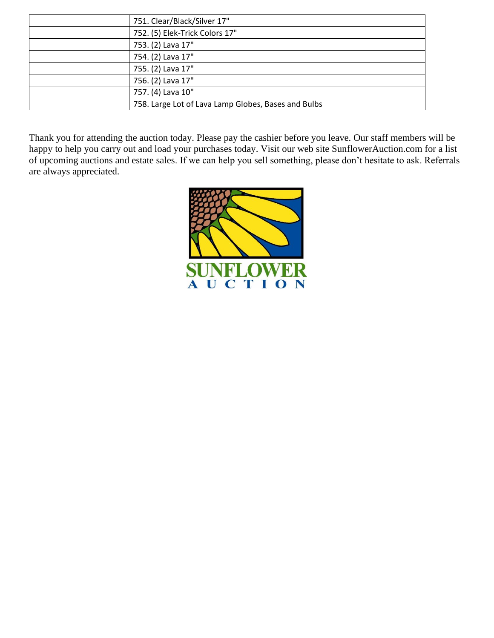| 751. Clear/Black/Silver 17"                         |  |
|-----------------------------------------------------|--|
| 752. (5) Elek-Trick Colors 17"                      |  |
| 753. (2) Lava 17"                                   |  |
| 754. (2) Lava 17"                                   |  |
| 755. (2) Lava 17"                                   |  |
| 756. (2) Lava 17"                                   |  |
| 757. (4) Lava 10"                                   |  |
| 758. Large Lot of Lava Lamp Globes, Bases and Bulbs |  |

Thank you for attending the auction today. Please pay the cashier before you leave. Our staff members will be happy to help you carry out and load your purchases today. Visit our web site SunflowerAuction.com for a list of upcoming auctions and estate sales. If we can help you sell something, please don't hesitate to ask. Referrals are always appreciated.